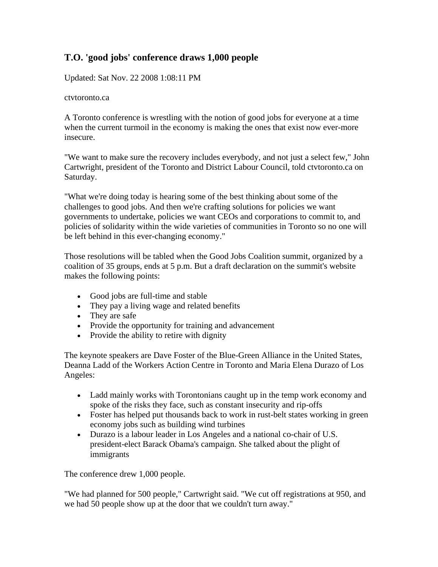## **T.O. 'good jobs' conference draws 1,000 people**

Updated: Sat Nov. 22 2008 1:08:11 PM

ctvtoronto.ca

A Toronto conference is wrestling with the notion of good jobs for everyone at a time when the current turmoil in the economy is making the ones that exist now ever-more insecure.

"We want to make sure the recovery includes everybody, and not just a select few," John Cartwright, president of the Toronto and District Labour Council, told ctvtoronto.ca on Saturday.

"What we're doing today is hearing some of the best thinking about some of the challenges to good jobs. And then we're crafting solutions for policies we want governments to undertake, policies we want CEOs and corporations to commit to, and policies of solidarity within the wide varieties of communities in Toronto so no one will be left behind in this ever-changing economy."

Those resolutions will be tabled when the Good Jobs Coalition summit, organized by a coalition of 35 groups, ends at 5 p.m. But a draft declaration on the summit's website makes the following points:

- Good jobs are full-time and stable
- They pay a living wage and related benefits
- They are safe
- Provide the opportunity for training and advancement
- Provide the ability to retire with dignity

The keynote speakers are Dave Foster of the Blue-Green Alliance in the United States, Deanna Ladd of the Workers Action Centre in Toronto and Maria Elena Durazo of Los Angeles:

- Ladd mainly works with Torontonians caught up in the temp work economy and spoke of the risks they face, such as constant insecurity and rip-offs
- Foster has helped put thousands back to work in rust-belt states working in green economy jobs such as building wind turbines
- Durazo is a labour leader in Los Angeles and a national co-chair of U.S. president-elect Barack Obama's campaign. She talked about the plight of immigrants

The conference drew 1,000 people.

"We had planned for 500 people," Cartwright said. "We cut off registrations at 950, and we had 50 people show up at the door that we couldn't turn away."